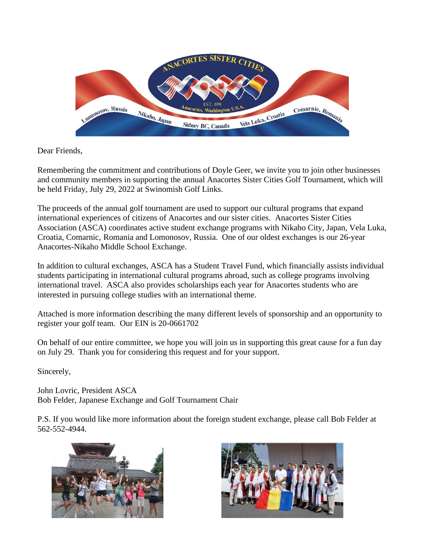

Dear Friends,

Remembering the commitment and contributions of Doyle Geer, we invite you to join other businesses and community members in supporting the annual Anacortes Sister Cities Golf Tournament, which will be held Friday, July 29, 2022 at Swinomish Golf Links.

The proceeds of the annual golf tournament are used to support our cultural programs that expand international experiences of citizens of Anacortes and our sister cities. Anacortes Sister Cities Association (ASCA) coordinates active student exchange programs with Nikaho City, Japan, Vela Luka, Croatia, Comarnic, Romania and Lomonosov, Russia. One of our oldest exchanges is our 26-year Anacortes-Nikaho Middle School Exchange.

In addition to cultural exchanges, ASCA has a Student Travel Fund, which financially assists individual students participating in international cultural programs abroad, such as college programs involving international travel. ASCA also provides scholarships each year for Anacortes students who are interested in pursuing college studies with an international theme.

Attached is more information describing the many different levels of sponsorship and an opportunity to register your golf team. Our EIN is 20-0661702

On behalf of our entire committee, we hope you will join us in supporting this great cause for a fun day on July 29. Thank you for considering this request and for your support.

Sincerely,

John Lovric, President ASCA Bob Felder, Japanese Exchange and Golf Tournament Chair

P.S. If you would like more information about the foreign student exchange, please call Bob Felder at 562-552-4944.



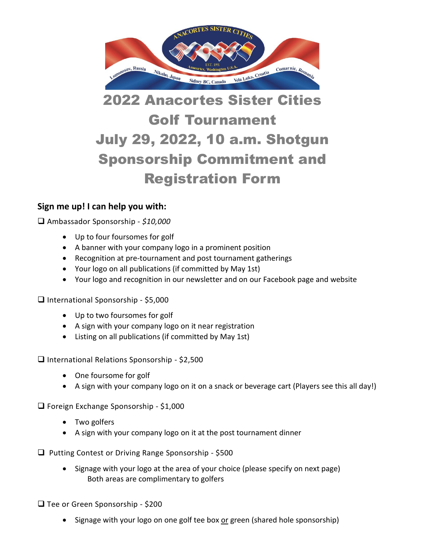

## 2022 Anacortes Sister Cities Golf Tournament July 29, 2022, 10 a.m. Shotgun Sponsorship Commitment and Registration Form

## **Sign me up! I can help you with:**

❑ Ambassador Sponsorship - *\$10,000*

- Up to four foursomes for golf
- A banner with your company logo in a prominent position
- Recognition at pre-tournament and post tournament gatherings
- Your logo on all publications (if committed by May 1st)
- Your logo and recognition in our newsletter and on our Facebook page and website

❑ International Sponsorship - \$5,000

- Up to two foursomes for golf
- A sign with your company logo on it near registration
- Listing on all publications (if committed by May 1st)

❑ International Relations Sponsorship - \$2,500

- One foursome for golf
- A sign with your company logo on it on a snack or beverage cart (Players see this all day!)

❑ Foreign Exchange Sponsorship - \$1,000

- Two golfers
- A sign with your company logo on it at the post tournament dinner
- ❑ Putting Contest or Driving Range Sponsorship \$500
	- Signage with your logo at the area of your choice (please specify on next page) Both areas are complimentary to golfers

❑ Tee or Green Sponsorship - \$200

• Signage with your logo on one golf tee box or green (shared hole sponsorship)